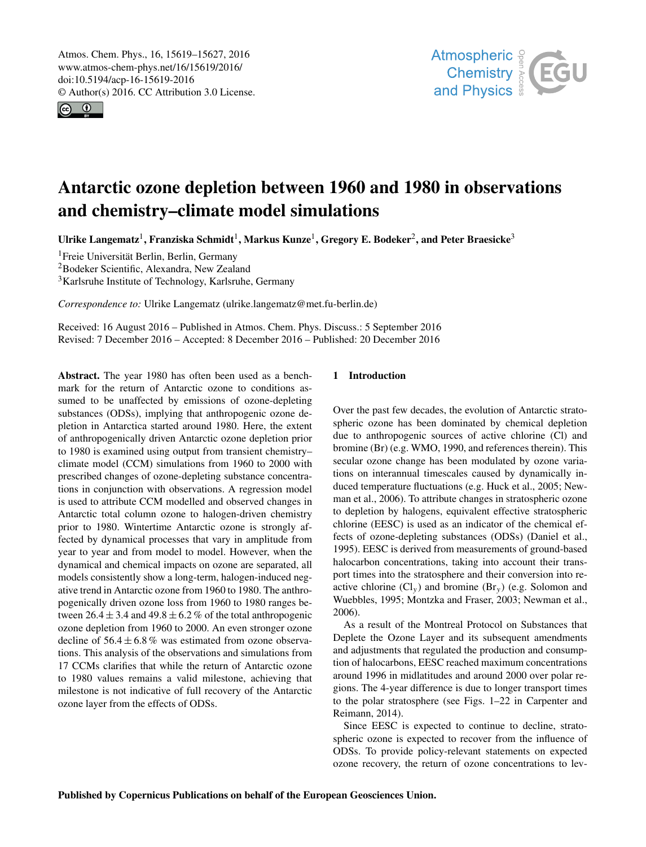<span id="page-0-1"></span>Atmos. Chem. Phys., 16, 15619–15627, 2016 www.atmos-chem-phys.net/16/15619/2016/ doi:10.5194/acp-16-15619-2016 © Author(s) 2016. CC Attribution 3.0 License.





# Antarctic ozone depletion between 1960 and 1980 in observations and chemistry–climate model simulations

Ulrike Langematz<sup>[1](#page-0-0)</sup>, Franziska Schmidt<sup>1</sup>, Markus Kunze<sup>1</sup>, Gregory E. Bodeker<sup>[2](#page-0-0)</sup>, and Peter Braesicke<sup>[3](#page-0-0)</sup>

<sup>1</sup>Freie Universität Berlin, Berlin, Germany

<sup>2</sup>Bodeker Scientific, Alexandra, New Zealand

<sup>3</sup>Karlsruhe Institute of Technology, Karlsruhe, Germany

*Correspondence to:* Ulrike Langematz (ulrike.langematz@met.fu-berlin.de)

Received: 16 August 2016 – Published in Atmos. Chem. Phys. Discuss.: 5 September 2016 Revised: 7 December 2016 – Accepted: 8 December 2016 – Published: 20 December 2016

<span id="page-0-0"></span>Abstract. The year 1980 has often been used as a benchmark for the return of Antarctic ozone to conditions assumed to be unaffected by emissions of ozone-depleting substances (ODSs), implying that anthropogenic ozone depletion in Antarctica started around 1980. Here, the extent of anthropogenically driven Antarctic ozone depletion prior to 1980 is examined using output from transient chemistry– climate model (CCM) simulations from 1960 to 2000 with prescribed changes of ozone-depleting substance concentrations in conjunction with observations. A regression model is used to attribute CCM modelled and observed changes in Antarctic total column ozone to halogen-driven chemistry prior to 1980. Wintertime Antarctic ozone is strongly affected by dynamical processes that vary in amplitude from year to year and from model to model. However, when the dynamical and chemical impacts on ozone are separated, all models consistently show a long-term, halogen-induced negative trend in Antarctic ozone from 1960 to 1980. The anthropogenically driven ozone loss from 1960 to 1980 ranges between  $26.4 \pm 3.4$  and  $49.8 \pm 6.2$  % of the total anthropogenic ozone depletion from 1960 to 2000. An even stronger ozone decline of  $56.4 \pm 6.8$ % was estimated from ozone observations. This analysis of the observations and simulations from 17 CCMs clarifies that while the return of Antarctic ozone to 1980 values remains a valid milestone, achieving that milestone is not indicative of full recovery of the Antarctic ozone layer from the effects of ODSs.

## 1 Introduction

Over the past few decades, the evolution of Antarctic stratospheric ozone has been dominated by chemical depletion due to anthropogenic sources of active chlorine (Cl) and bromine (Br) (e.g. WMO, 1990, and references therein). This secular ozone change has been modulated by ozone variations on interannual timescales caused by dynamically induced temperature fluctuations (e.g. Huck et al., 2005; Newman et al., 2006). To attribute changes in stratospheric ozone to depletion by halogens, equivalent effective stratospheric chlorine (EESC) is used as an indicator of the chemical effects of ozone-depleting substances (ODSs) (Daniel et al., 1995). EESC is derived from measurements of ground-based halocarbon concentrations, taking into account their transport times into the stratosphere and their conversion into reactive chlorine  $(Cl_y)$  and bromine  $(Br_y)$  (e.g. Solomon and Wuebbles, 1995; Montzka and Fraser, 2003; Newman et al., 2006).

As a result of the Montreal Protocol on Substances that Deplete the Ozone Layer and its subsequent amendments and adjustments that regulated the production and consumption of halocarbons, EESC reached maximum concentrations around 1996 in midlatitudes and around 2000 over polar regions. The 4-year difference is due to longer transport times to the polar stratosphere (see Figs. 1–22 in Carpenter and Reimann, 2014).

Since EESC is expected to continue to decline, stratospheric ozone is expected to recover from the influence of ODSs. To provide policy-relevant statements on expected ozone recovery, the return of ozone concentrations to lev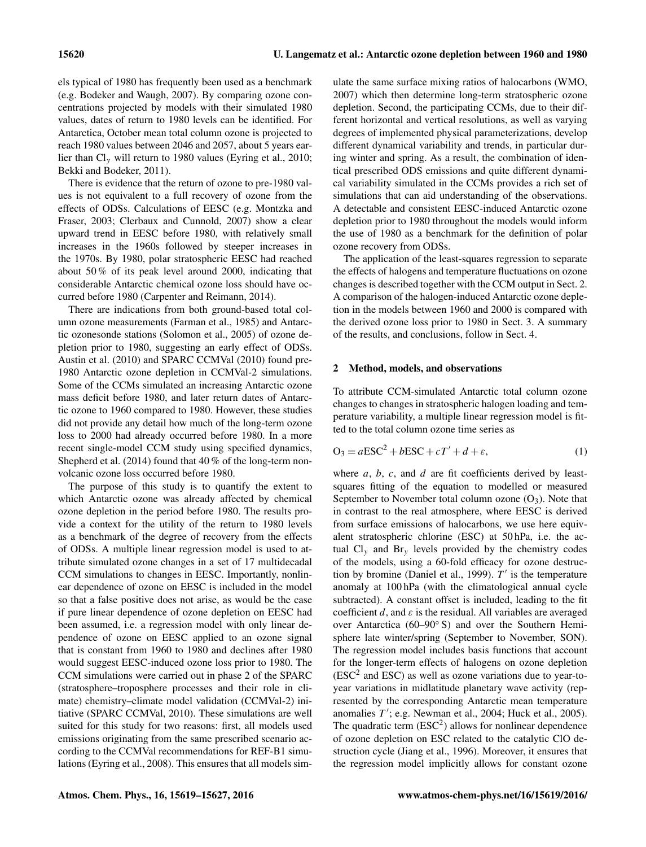els typical of 1980 has frequently been used as a benchmark (e.g. Bodeker and Waugh, 2007). By comparing ozone concentrations projected by models with their simulated 1980 values, dates of return to 1980 levels can be identified. For Antarctica, October mean total column ozone is projected to reach 1980 values between 2046 and 2057, about 5 years earlier than  $Cl_v$  will return to 1980 values (Eyring et al., 2010; Bekki and Bodeker, 2011).

There is evidence that the return of ozone to pre-1980 values is not equivalent to a full recovery of ozone from the effects of ODSs. Calculations of EESC (e.g. Montzka and Fraser, 2003; Clerbaux and Cunnold, 2007) show a clear upward trend in EESC before 1980, with relatively small increases in the 1960s followed by steeper increases in the 1970s. By 1980, polar stratospheric EESC had reached about 50 % of its peak level around 2000, indicating that considerable Antarctic chemical ozone loss should have occurred before 1980 (Carpenter and Reimann, 2014).

There are indications from both ground-based total column ozone measurements (Farman et al., 1985) and Antarctic ozonesonde stations (Solomon et al., 2005) of ozone depletion prior to 1980, suggesting an early effect of ODSs. Austin et al. (2010) and SPARC CCMVal (2010) found pre-1980 Antarctic ozone depletion in CCMVal-2 simulations. Some of the CCMs simulated an increasing Antarctic ozone mass deficit before 1980, and later return dates of Antarctic ozone to 1960 compared to 1980. However, these studies did not provide any detail how much of the long-term ozone loss to 2000 had already occurred before 1980. In a more recent single-model CCM study using specified dynamics, Shepherd et al. (2014) found that 40 % of the long-term nonvolcanic ozone loss occurred before 1980.

The purpose of this study is to quantify the extent to which Antarctic ozone was already affected by chemical ozone depletion in the period before 1980. The results provide a context for the utility of the return to 1980 levels as a benchmark of the degree of recovery from the effects of ODSs. A multiple linear regression model is used to attribute simulated ozone changes in a set of 17 multidecadal CCM simulations to changes in EESC. Importantly, nonlinear dependence of ozone on EESC is included in the model so that a false positive does not arise, as would be the case if pure linear dependence of ozone depletion on EESC had been assumed, i.e. a regression model with only linear dependence of ozone on EESC applied to an ozone signal that is constant from 1960 to 1980 and declines after 1980 would suggest EESC-induced ozone loss prior to 1980. The CCM simulations were carried out in phase 2 of the SPARC (stratosphere–troposphere processes and their role in climate) chemistry–climate model validation (CCMVal-2) initiative (SPARC CCMVal, 2010). These simulations are well suited for this study for two reasons: first, all models used emissions originating from the same prescribed scenario according to the CCMVal recommendations for REF-B1 simulations (Eyring et al., 2008). This ensures that all models simulate the same surface mixing ratios of halocarbons (WMO, 2007) which then determine long-term stratospheric ozone depletion. Second, the participating CCMs, due to their different horizontal and vertical resolutions, as well as varying degrees of implemented physical parameterizations, develop different dynamical variability and trends, in particular during winter and spring. As a result, the combination of identical prescribed ODS emissions and quite different dynamical variability simulated in the CCMs provides a rich set of simulations that can aid understanding of the observations. A detectable and consistent EESC-induced Antarctic ozone depletion prior to 1980 throughout the models would inform the use of 1980 as a benchmark for the definition of polar ozone recovery from ODSs.

The application of the least-squares regression to separate the effects of halogens and temperature fluctuations on ozone changes is described together with the CCM output in Sect. 2. A comparison of the halogen-induced Antarctic ozone depletion in the models between 1960 and 2000 is compared with the derived ozone loss prior to 1980 in Sect. 3. A summary of the results, and conclusions, follow in Sect. 4.

## 2 Method, models, and observations

To attribute CCM-simulated Antarctic total column ozone changes to changes in stratospheric halogen loading and temperature variability, a multiple linear regression model is fitted to the total column ozone time series as

$$
O_3 = a\text{ESC}^2 + b\text{ESC} + cT' + d + \varepsilon,\tag{1}
$$

where  $a, b, c,$  and  $d$  are fit coefficients derived by leastsquares fitting of the equation to modelled or measured September to November total column ozone  $(O_3)$ . Note that in contrast to the real atmosphere, where EESC is derived from surface emissions of halocarbons, we use here equivalent stratospheric chlorine (ESC) at 50 hPa, i.e. the actual  $Cl_v$  and  $Br_v$  levels provided by the chemistry codes of the models, using a 60-fold efficacy for ozone destruction by bromine (Daniel et al., 1999).  $T'$  is the temperature anomaly at 100 hPa (with the climatological annual cycle subtracted). A constant offset is included, leading to the fit coefficient d, and  $\varepsilon$  is the residual. All variables are averaged over Antarctica (60–90◦ S) and over the Southern Hemisphere late winter/spring (September to November, SON). The regression model includes basis functions that account for the longer-term effects of halogens on ozone depletion  $(ESC<sup>2</sup>$  and ESC) as well as ozone variations due to year-toyear variations in midlatitude planetary wave activity (represented by the corresponding Antarctic mean temperature anomalies  $T'$ ; e.g. Newman et al., 2004; Huck et al., 2005). The quadratic term  $(ESC^2)$  allows for nonlinear dependence of ozone depletion on ESC related to the catalytic ClO destruction cycle (Jiang et al., 1996). Moreover, it ensures that the regression model implicitly allows for constant ozone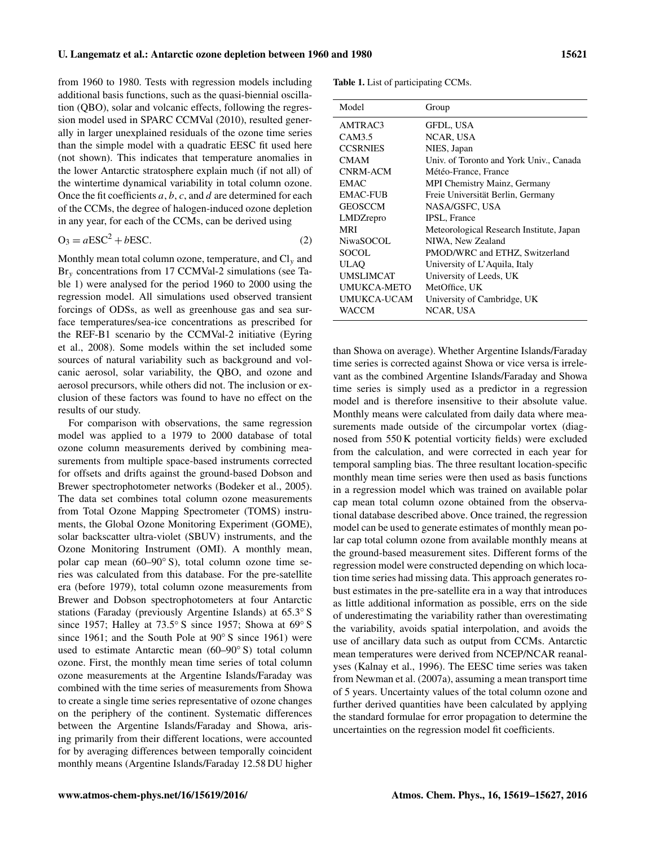from 1960 to 1980. Tests with regression models including additional basis functions, such as the quasi-biennial oscillation (QBO), solar and volcanic effects, following the regression model used in SPARC CCMVal (2010), resulted generally in larger unexplained residuals of the ozone time series than the simple model with a quadratic EESC fit used here (not shown). This indicates that temperature anomalies in the lower Antarctic stratosphere explain much (if not all) of the wintertime dynamical variability in total column ozone. Once the fit coefficients  $a, b, c$ , and  $d$  are determined for each of the CCMs, the degree of halogen-induced ozone depletion in any year, for each of the CCMs, can be derived using

$$
O_3 = aESC^2 + bESC.
$$
 (2)

Monthly mean total column ozone, temperature, and  $Cl<sub>v</sub>$  and  $Br<sub>v</sub>$  concentrations from 17 CCMVal-2 simulations (see Table 1) were analysed for the period 1960 to 2000 using the regression model. All simulations used observed transient forcings of ODSs, as well as greenhouse gas and sea surface temperatures/sea-ice concentrations as prescribed for the REF-B1 scenario by the CCMVal-2 initiative (Eyring et al., 2008). Some models within the set included some sources of natural variability such as background and volcanic aerosol, solar variability, the QBO, and ozone and aerosol precursors, while others did not. The inclusion or exclusion of these factors was found to have no effect on the results of our study.

For comparison with observations, the same regression model was applied to a 1979 to 2000 database of total ozone column measurements derived by combining measurements from multiple space-based instruments corrected for offsets and drifts against the ground-based Dobson and Brewer spectrophotometer networks (Bodeker et al., 2005). The data set combines total column ozone measurements from Total Ozone Mapping Spectrometer (TOMS) instruments, the Global Ozone Monitoring Experiment (GOME), solar backscatter ultra-violet (SBUV) instruments, and the Ozone Monitoring Instrument (OMI). A monthly mean, polar cap mean (60–90◦ S), total column ozone time series was calculated from this database. For the pre-satellite era (before 1979), total column ozone measurements from Brewer and Dobson spectrophotometers at four Antarctic stations (Faraday (previously Argentine Islands) at 65.3◦ S since 1957; Halley at  $73.5°$  S since 1957; Showa at 69° S since 1961; and the South Pole at 90◦ S since 1961) were used to estimate Antarctic mean (60–90° S) total column ozone. First, the monthly mean time series of total column ozone measurements at the Argentine Islands/Faraday was combined with the time series of measurements from Showa to create a single time series representative of ozone changes on the periphery of the continent. Systematic differences between the Argentine Islands/Faraday and Showa, arising primarily from their different locations, were accounted for by averaging differences between temporally coincident monthly means (Argentine Islands/Faraday 12.58 DU higher Table 1. List of participating CCMs.

| Model            | Group                                    |  |  |
|------------------|------------------------------------------|--|--|
| AMTRAC3          | GFDL. USA                                |  |  |
| CAM3.5           | NCAR, USA                                |  |  |
| <b>CCSRNIES</b>  | NIES, Japan                              |  |  |
| <b>CMAM</b>      | Univ. of Toronto and York Univ., Canada  |  |  |
| <b>CNRM-ACM</b>  | Météo-France, France                     |  |  |
| <b>EMAC</b>      | MPI Chemistry Mainz, Germany             |  |  |
| <b>EMAC-FUB</b>  | Freie Universität Berlin, Germany        |  |  |
| <b>GEOSCCM</b>   | NASA/GSFC, USA                           |  |  |
| LMDZrepro        | <b>IPSL, France</b>                      |  |  |
| MRI              | Meteorological Research Institute, Japan |  |  |
| NiwaSOCOL        | NIWA, New Zealand                        |  |  |
| SOCOL.           | PMOD/WRC and ETHZ, Switzerland           |  |  |
| ULAO             | University of L'Aquila, Italy            |  |  |
| <b>UMSLIMCAT</b> | University of Leeds, UK                  |  |  |
| UMUKCA-METO      | MetOffice, UK                            |  |  |
| UMUKCA-UCAM      | University of Cambridge, UK              |  |  |
| WACCM            | NCAR. USA                                |  |  |

than Showa on average). Whether Argentine Islands/Faraday time series is corrected against Showa or vice versa is irrelevant as the combined Argentine Islands/Faraday and Showa time series is simply used as a predictor in a regression model and is therefore insensitive to their absolute value. Monthly means were calculated from daily data where measurements made outside of the circumpolar vortex (diagnosed from 550 K potential vorticity fields) were excluded from the calculation, and were corrected in each year for temporal sampling bias. The three resultant location-specific monthly mean time series were then used as basis functions in a regression model which was trained on available polar cap mean total column ozone obtained from the observational database described above. Once trained, the regression model can be used to generate estimates of monthly mean polar cap total column ozone from available monthly means at the ground-based measurement sites. Different forms of the regression model were constructed depending on which location time series had missing data. This approach generates robust estimates in the pre-satellite era in a way that introduces as little additional information as possible, errs on the side of underestimating the variability rather than overestimating the variability, avoids spatial interpolation, and avoids the use of ancillary data such as output from CCMs. Antarctic mean temperatures were derived from NCEP/NCAR reanalyses (Kalnay et al., 1996). The EESC time series was taken from Newman et al. (2007a), assuming a mean transport time of 5 years. Uncertainty values of the total column ozone and further derived quantities have been calculated by applying the standard formulae for error propagation to determine the uncertainties on the regression model fit coefficients.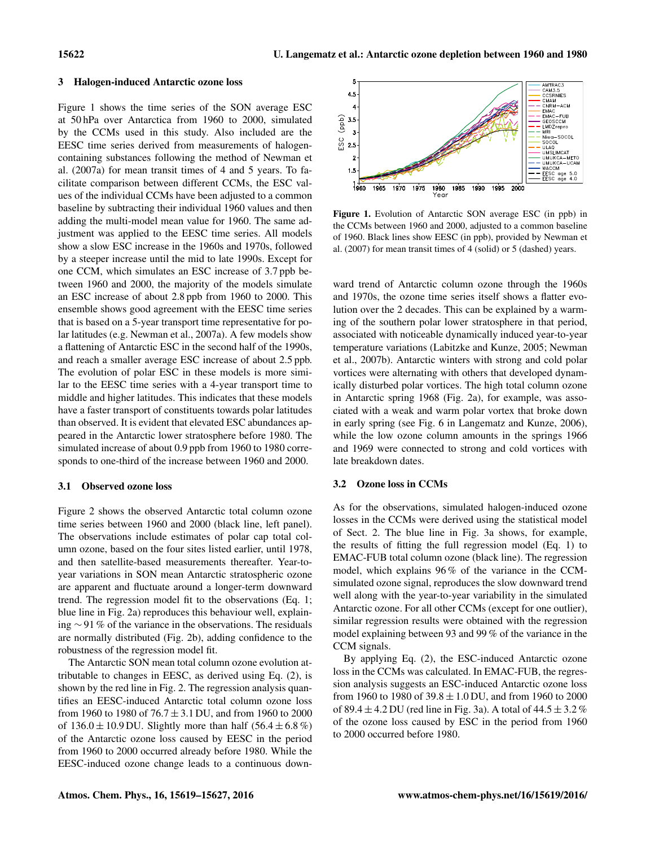#### 3 Halogen-induced Antarctic ozone loss

Figure 1 shows the time series of the SON average ESC at 50 hPa over Antarctica from 1960 to 2000, simulated by the CCMs used in this study. Also included are the EESC time series derived from measurements of halogencontaining substances following the method of Newman et al. (2007a) for mean transit times of 4 and 5 years. To facilitate comparison between different CCMs, the ESC values of the individual CCMs have been adjusted to a common baseline by subtracting their individual 1960 values and then adding the multi-model mean value for 1960. The same adjustment was applied to the EESC time series. All models show a slow ESC increase in the 1960s and 1970s, followed by a steeper increase until the mid to late 1990s. Except for one CCM, which simulates an ESC increase of 3.7 ppb between 1960 and 2000, the majority of the models simulate an ESC increase of about 2.8 ppb from 1960 to 2000. This ensemble shows good agreement with the EESC time series that is based on a 5-year transport time representative for polar latitudes (e.g. Newman et al., 2007a). A few models show a flattening of Antarctic ESC in the second half of the 1990s, and reach a smaller average ESC increase of about 2.5 ppb. The evolution of polar ESC in these models is more similar to the EESC time series with a 4-year transport time to middle and higher latitudes. This indicates that these models have a faster transport of constituents towards polar latitudes than observed. It is evident that elevated ESC abundances appeared in the Antarctic lower stratosphere before 1980. The simulated increase of about 0.9 ppb from 1960 to 1980 corresponds to one-third of the increase between 1960 and 2000.

#### 3.1 Observed ozone loss

Figure 2 shows the observed Antarctic total column ozone time series between 1960 and 2000 (black line, left panel). The observations include estimates of polar cap total column ozone, based on the four sites listed earlier, until 1978, and then satellite-based measurements thereafter. Year-toyear variations in SON mean Antarctic stratospheric ozone are apparent and fluctuate around a longer-term downward trend. The regression model fit to the observations (Eq. 1; blue line in Fig. 2a) reproduces this behaviour well, explaining ∼ 91 % of the variance in the observations. The residuals are normally distributed (Fig. 2b), adding confidence to the robustness of the regression model fit.

The Antarctic SON mean total column ozone evolution attributable to changes in EESC, as derived using Eq. (2), is shown by the red line in Fig. 2. The regression analysis quantifies an EESC-induced Antarctic total column ozone loss from 1960 to 1980 of  $76.7 \pm 3.1$  DU, and from 1960 to 2000 of  $136.0 \pm 10.9$  DU. Slightly more than half  $(56.4 \pm 6.8\%)$ of the Antarctic ozone loss caused by EESC in the period from 1960 to 2000 occurred already before 1980. While the EESC-induced ozone change leads to a continuous down-



Figure 1. Evolution of Antarctic SON average ESC (in ppb) in the CCMs between 1960 and 2000, adjusted to a common baseline of 1960. Black lines show EESC (in ppb), provided by Newman et al. (2007) for mean transit times of 4 (solid) or 5 (dashed) years.

ward trend of Antarctic column ozone through the 1960s and 1970s, the ozone time series itself shows a flatter evolution over the 2 decades. This can be explained by a warming of the southern polar lower stratosphere in that period, associated with noticeable dynamically induced year-to-year temperature variations (Labitzke and Kunze, 2005; Newman et al., 2007b). Antarctic winters with strong and cold polar vortices were alternating with others that developed dynamically disturbed polar vortices. The high total column ozone in Antarctic spring 1968 (Fig. 2a), for example, was associated with a weak and warm polar vortex that broke down in early spring (see Fig. 6 in Langematz and Kunze, 2006), while the low ozone column amounts in the springs 1966 and 1969 were connected to strong and cold vortices with late breakdown dates.

#### 3.2 Ozone loss in CCMs

As for the observations, simulated halogen-induced ozone losses in the CCMs were derived using the statistical model of Sect. 2. The blue line in Fig. 3a shows, for example, the results of fitting the full regression model (Eq. 1) to EMAC-FUB total column ozone (black line). The regression model, which explains 96 % of the variance in the CCMsimulated ozone signal, reproduces the slow downward trend well along with the year-to-year variability in the simulated Antarctic ozone. For all other CCMs (except for one outlier), similar regression results were obtained with the regression model explaining between 93 and 99 % of the variance in the CCM signals.

By applying Eq. (2), the ESC-induced Antarctic ozone loss in the CCMs was calculated. In EMAC-FUB, the regression analysis suggests an ESC-induced Antarctic ozone loss from 1960 to 1980 of  $39.8 \pm 1.0$  DU, and from 1960 to 2000 of 89.4  $\pm$  4.2 DU (red line in Fig. 3a). A total of 44.5  $\pm$  3.2 % of the ozone loss caused by ESC in the period from 1960 to 2000 occurred before 1980.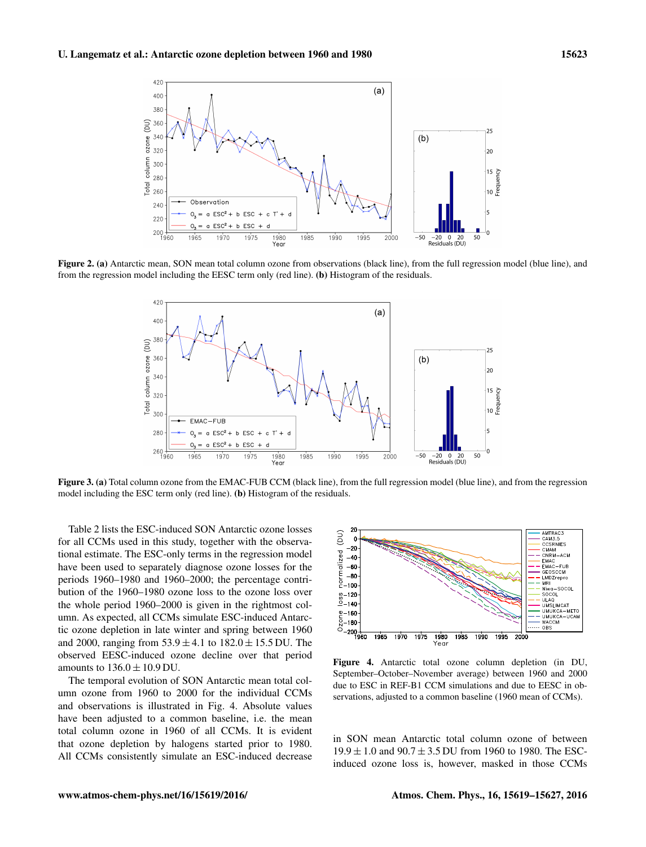

Figure 2. (a) Antarctic mean, SON mean total column ozone from observations (black line), from the full regression model (blue line), and from the regression model including the EESC term only (red line). (b) Histogram of the residuals.



Figure 3. (a) Total column ozone from the EMAC-FUB CCM (black line), from the full regression model (blue line), and from the regression model including the ESC term only (red line). (b) Histogram of the residuals.

Table 2 lists the ESC-induced SON Antarctic ozone losses for all CCMs used in this study, together with the observational estimate. The ESC-only terms in the regression model have been used to separately diagnose ozone losses for the periods 1960–1980 and 1960–2000; the percentage contribution of the 1960–1980 ozone loss to the ozone loss over the whole period 1960–2000 is given in the rightmost column. As expected, all CCMs simulate ESC-induced Antarctic ozone depletion in late winter and spring between 1960 and 2000, ranging from  $53.9 \pm 4.1$  to  $182.0 \pm 15.5$  DU. The observed EESC-induced ozone decline over that period amounts to  $136.0 \pm 10.9$  DU.

The temporal evolution of SON Antarctic mean total column ozone from 1960 to 2000 for the individual CCMs and observations is illustrated in Fig. 4. Absolute values have been adjusted to a common baseline, i.e. the mean total column ozone in 1960 of all CCMs. It is evident that ozone depletion by halogens started prior to 1980. All CCMs consistently simulate an ESC-induced decrease



Figure 4. Antarctic total ozone column depletion (in DU, September–October–November average) between 1960 and 2000 due to ESC in REF-B1 CCM simulations and due to EESC in observations, adjusted to a common baseline (1960 mean of CCMs).

in SON mean Antarctic total column ozone of between  $19.9 \pm 1.0$  and  $90.7 \pm 3.5$  DU from 1960 to 1980. The ESCinduced ozone loss is, however, masked in those CCMs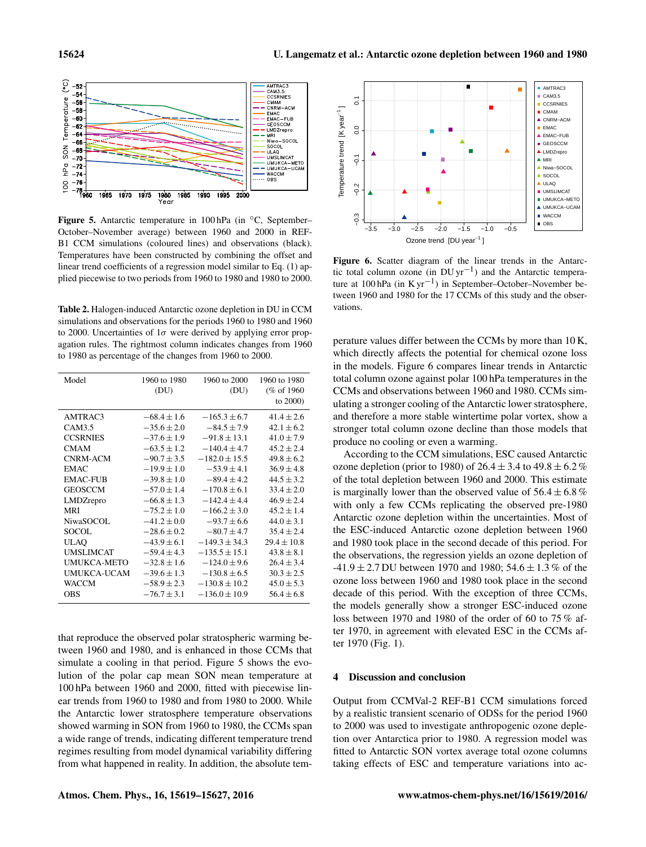

Figure 5. Antarctic temperature in 100 hPa (in ◦C, September– October–November average) between 1960 and 2000 in REF-B1 CCM simulations (coloured lines) and observations (black). Temperatures have been constructed by combining the offset and linear trend coefficients of a regression model similar to Eq. (1) applied piecewise to two periods from 1960 to 1980 and 1980 to 2000.

Table 2. Halogen-induced Antarctic ozone depletion in DU in CCM simulations and observations for the periods 1960 to 1980 and 1960 to 2000. Uncertainties of  $1\sigma$  were derived by applying error propagation rules. The rightmost column indicates changes from 1960 to 1980 as percentage of the changes from 1960 to 2000.

| Model              | 1960 to 1980<br>(DU) | 1960 to 2000<br>(DU) | 1960 to 1980<br>(% of 1960)<br>to 2000) |
|--------------------|----------------------|----------------------|-----------------------------------------|
| AMTRAC3            | $-68.4 \pm 1.6$      | $-165.3 \pm 6.7$     | $41.4 \pm 2.6$                          |
| CAM3.5             | $-35.6 \pm 2.0$      | $-84.5 \pm 7.9$      | $42.1 \pm 6.2$                          |
| <b>CCSRNIES</b>    | $-37.6 \pm 1.9$      | $-91.8 \pm 13.1$     | $41.0 \pm 7.9$                          |
| <b>CMAM</b>        | $-63.5 \pm 1.2$      | $-140.4 \pm 4.7$     | $45.2 \pm 2.4$                          |
| CNRM-ACM           | $-90.7 \pm 3.5$      | $-182.0 \pm 15.5$    | $49.8 \pm 6.2$                          |
| <b>EMAC</b>        | $-19.9 \pm 1.0$      | $-53.9 \pm 4.1$      | $36.9 \pm 4.8$                          |
| <b>EMAC-FUB</b>    | $-39.8 \pm 1.0$      | $-89.4 \pm 4.2$      | $44.5 \pm 3.2$                          |
| <b>GEOSCCM</b>     | $-57.0 \pm 1.4$      | $-170.8 \pm 6.1$     | $33.4 \pm 2.0$                          |
| LMDZrepro          | $-66.8 \pm 1.3$      | $-142.4 \pm 4.4$     | $46.9 \pm 2.4$                          |
| <b>MRI</b>         | $-75.2 \pm 1.0$      | $-166.2 \pm 3.0$     | $45.2 \pm 1.4$                          |
| NiwaSOCOL          | $-41.2 \pm 0.0$      | $-93.7 + 6.6$        | $44.0 \pm 3.1$                          |
| SOCOL              | $-28.6 \pm 0.2$      | $-80.7 \pm 4.7$      | $35.4 \pm 2.4$                          |
| <b>ULAQ</b>        | $-43.9 \pm 6.1$      | $-149.3 \pm 34.3$    | $29.4 \pm 10.8$                         |
| <b>UMSLIMCAT</b>   | $-59.4 \pm 4.3$      | $-135.5 \pm 15.1$    | $43.8 \pm 8.1$                          |
| <b>UMUKCA-METO</b> | $-32.8 \pm 1.6$      | $-124.0 \pm 9.6$     | $26.4 \pm 3.4$                          |
| <b>UMUKCA-UCAM</b> | $-39.6 \pm 1.3$      | $-130.8 \pm 6.5$     | $30.3 \pm 2.5$                          |
| <b>WACCM</b>       | $-58.9 \pm 2.3$      | $-130.8 \pm 10.2$    | $45.0 \pm 5.3$                          |
| OBS                | $-76.7 \pm 3.1$      | $-136.0 \pm 10.9$    | $56.4 \pm 6.8$                          |

that reproduce the observed polar stratospheric warming between 1960 and 1980, and is enhanced in those CCMs that simulate a cooling in that period. Figure 5 shows the evolution of the polar cap mean SON mean temperature at 100 hPa between 1960 and 2000, fitted with piecewise linear trends from 1960 to 1980 and from 1980 to 2000. While the Antarctic lower stratosphere temperature observations showed warming in SON from 1960 to 1980, the CCMs span a wide range of trends, indicating different temperature trend regimes resulting from model dynamical variability differing from what happened in reality. In addition, the absolute tem-



Figure 6. Scatter diagram of the linear trends in the Antarctic total column ozone (in DU yr−<sup>1</sup> ) and the Antarctic temperature at 100 hPa (in K yr−<sup>1</sup> ) in September–October–November between 1960 and 1980 for the 17 CCMs of this study and the observations.

perature values differ between the CCMs by more than 10 K, which directly affects the potential for chemical ozone loss in the models. Figure 6 compares linear trends in Antarctic total column ozone against polar 100 hPa temperatures in the CCMs and observations between 1960 and 1980. CCMs simulating a stronger cooling of the Antarctic lower stratosphere, and therefore a more stable wintertime polar vortex, show a stronger total column ozone decline than those models that produce no cooling or even a warming.

According to the CCM simulations, ESC caused Antarctic ozone depletion (prior to 1980) of  $26.4 \pm 3.4$  to  $49.8 \pm 6.2$ % of the total depletion between 1960 and 2000. This estimate is marginally lower than the observed value of  $56.4 \pm 6.8\%$ with only a few CCMs replicating the observed pre-1980 Antarctic ozone depletion within the uncertainties. Most of the ESC-induced Antarctic ozone depletion between 1960 and 1980 took place in the second decade of this period. For the observations, the regression yields an ozone depletion of  $-41.9 \pm 2.7$  DU between 1970 and 1980; 54.6  $\pm$  1.3% of the ozone loss between 1960 and 1980 took place in the second decade of this period. With the exception of three CCMs, the models generally show a stronger ESC-induced ozone loss between 1970 and 1980 of the order of 60 to 75 % after 1970, in agreement with elevated ESC in the CCMs after 1970 (Fig. 1).

### 4 Discussion and conclusion

Output from CCMVal-2 REF-B1 CCM simulations forced by a realistic transient scenario of ODSs for the period 1960 to 2000 was used to investigate anthropogenic ozone depletion over Antarctica prior to 1980. A regression model was fitted to Antarctic SON vortex average total ozone columns taking effects of ESC and temperature variations into ac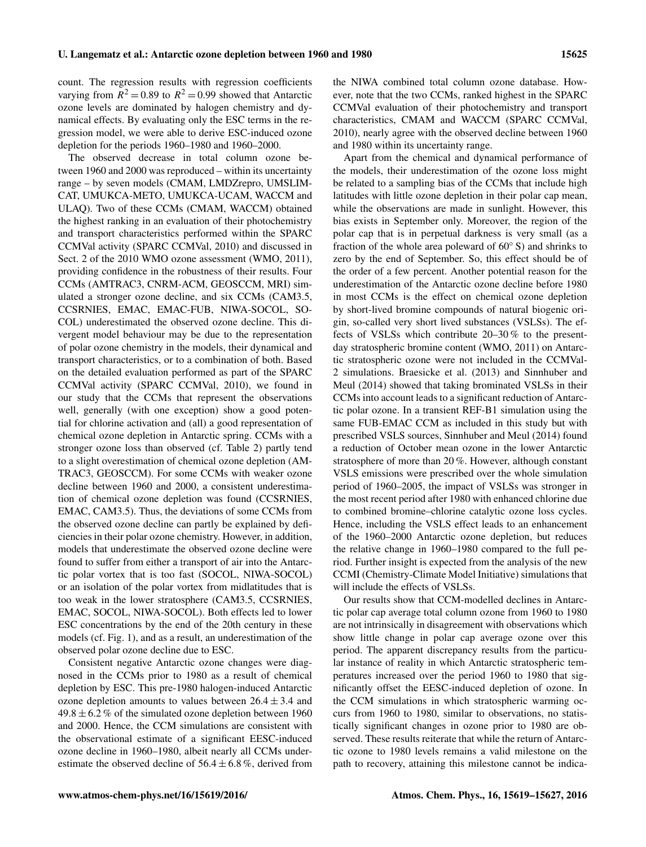count. The regression results with regression coefficients varying from  $R^2 = 0.89$  to  $R^2 = 0.99$  showed that Antarctic ozone levels are dominated by halogen chemistry and dynamical effects. By evaluating only the ESC terms in the regression model, we were able to derive ESC-induced ozone depletion for the periods 1960–1980 and 1960–2000.

The observed decrease in total column ozone between 1960 and 2000 was reproduced – within its uncertainty range – by seven models (CMAM, LMDZrepro, UMSLIM-CAT, UMUKCA-METO, UMUKCA-UCAM, WACCM and ULAQ). Two of these CCMs (CMAM, WACCM) obtained the highest ranking in an evaluation of their photochemistry and transport characteristics performed within the SPARC CCMVal activity (SPARC CCMVal, 2010) and discussed in Sect. 2 of the 2010 WMO ozone assessment (WMO, 2011), providing confidence in the robustness of their results. Four CCMs (AMTRAC3, CNRM-ACM, GEOSCCM, MRI) simulated a stronger ozone decline, and six CCMs (CAM3.5, CCSRNIES, EMAC, EMAC-FUB, NIWA-SOCOL, SO-COL) underestimated the observed ozone decline. This divergent model behaviour may be due to the representation of polar ozone chemistry in the models, their dynamical and transport characteristics, or to a combination of both. Based on the detailed evaluation performed as part of the SPARC CCMVal activity (SPARC CCMVal, 2010), we found in our study that the CCMs that represent the observations well, generally (with one exception) show a good potential for chlorine activation and (all) a good representation of chemical ozone depletion in Antarctic spring. CCMs with a stronger ozone loss than observed (cf. Table 2) partly tend to a slight overestimation of chemical ozone depletion (AM-TRAC3, GEOSCCM). For some CCMs with weaker ozone decline between 1960 and 2000, a consistent underestimation of chemical ozone depletion was found (CCSRNIES, EMAC, CAM3.5). Thus, the deviations of some CCMs from the observed ozone decline can partly be explained by deficiencies in their polar ozone chemistry. However, in addition, models that underestimate the observed ozone decline were found to suffer from either a transport of air into the Antarctic polar vortex that is too fast (SOCOL, NIWA-SOCOL) or an isolation of the polar vortex from midlatitudes that is too weak in the lower stratosphere (CAM3.5, CCSRNIES, EMAC, SOCOL, NIWA-SOCOL). Both effects led to lower ESC concentrations by the end of the 20th century in these models (cf. Fig. 1), and as a result, an underestimation of the observed polar ozone decline due to ESC.

Consistent negative Antarctic ozone changes were diagnosed in the CCMs prior to 1980 as a result of chemical depletion by ESC. This pre-1980 halogen-induced Antarctic ozone depletion amounts to values between  $26.4 \pm 3.4$  and  $49.8 \pm 6.2$ % of the simulated ozone depletion between 1960 and 2000. Hence, the CCM simulations are consistent with the observational estimate of a significant EESC-induced ozone decline in 1960–1980, albeit nearly all CCMs underestimate the observed decline of  $56.4 \pm 6.8$ %, derived from the NIWA combined total column ozone database. However, note that the two CCMs, ranked highest in the SPARC CCMVal evaluation of their photochemistry and transport characteristics, CMAM and WACCM (SPARC CCMVal, 2010), nearly agree with the observed decline between 1960 and 1980 within its uncertainty range.

Apart from the chemical and dynamical performance of the models, their underestimation of the ozone loss might be related to a sampling bias of the CCMs that include high latitudes with little ozone depletion in their polar cap mean, while the observations are made in sunlight. However, this bias exists in September only. Moreover, the region of the polar cap that is in perpetual darkness is very small (as a fraction of the whole area poleward of 60◦ S) and shrinks to zero by the end of September. So, this effect should be of the order of a few percent. Another potential reason for the underestimation of the Antarctic ozone decline before 1980 in most CCMs is the effect on chemical ozone depletion by short-lived bromine compounds of natural biogenic origin, so-called very short lived substances (VSLSs). The effects of VSLSs which contribute 20–30 % to the presentday stratospheric bromine content (WMO, 2011) on Antarctic stratospheric ozone were not included in the CCMVal-2 simulations. Braesicke et al. (2013) and Sinnhuber and Meul (2014) showed that taking brominated VSLSs in their CCMs into account leads to a significant reduction of Antarctic polar ozone. In a transient REF-B1 simulation using the same FUB-EMAC CCM as included in this study but with prescribed VSLS sources, Sinnhuber and Meul (2014) found a reduction of October mean ozone in the lower Antarctic stratosphere of more than 20 %. However, although constant VSLS emissions were prescribed over the whole simulation period of 1960–2005, the impact of VSLSs was stronger in the most recent period after 1980 with enhanced chlorine due to combined bromine–chlorine catalytic ozone loss cycles. Hence, including the VSLS effect leads to an enhancement of the 1960–2000 Antarctic ozone depletion, but reduces the relative change in 1960–1980 compared to the full period. Further insight is expected from the analysis of the new CCMI (Chemistry-Climate Model Initiative) simulations that will include the effects of VSLSs.

Our results show that CCM-modelled declines in Antarctic polar cap average total column ozone from 1960 to 1980 are not intrinsically in disagreement with observations which show little change in polar cap average ozone over this period. The apparent discrepancy results from the particular instance of reality in which Antarctic stratospheric temperatures increased over the period 1960 to 1980 that significantly offset the EESC-induced depletion of ozone. In the CCM simulations in which stratospheric warming occurs from 1960 to 1980, similar to observations, no statistically significant changes in ozone prior to 1980 are observed. These results reiterate that while the return of Antarctic ozone to 1980 levels remains a valid milestone on the path to recovery, attaining this milestone cannot be indica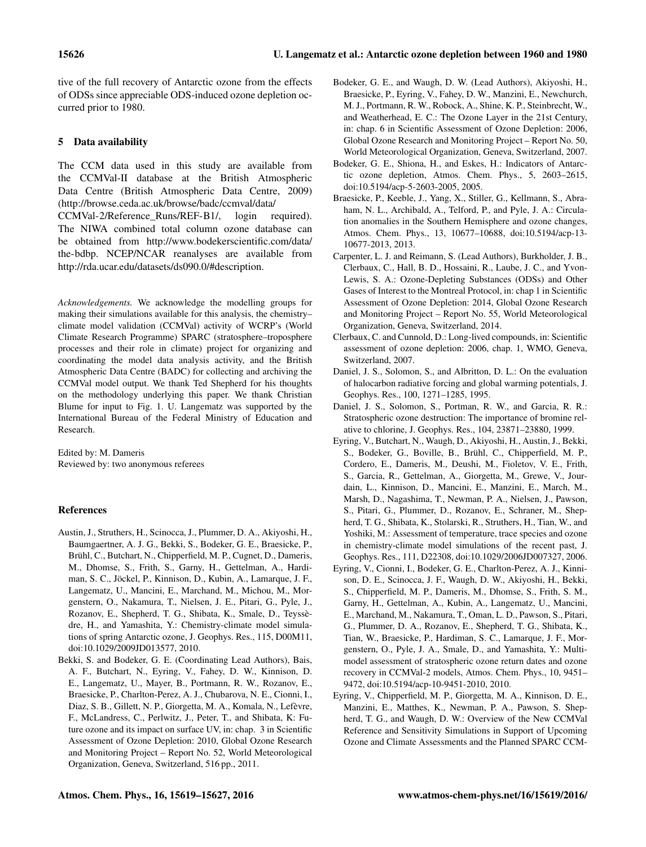tive of the full recovery of Antarctic ozone from the effects of ODSs since appreciable ODS-induced ozone depletion occurred prior to 1980.

# 5 Data availability

The CCM data used in this study are available from the CCMVal-II database at the British Atmospheric Data Centre (British Atmospheric Data Centre, 2009) [\(http://browse.ceda.ac.uk/browse/badc/ccmval/data/](http://browse.ceda.ac.uk/browse/badc/ccmval/data/CCMVal-2/Reference_Runs/REF-B1/) [CCMVal-2/Reference\\_Runs/REF-B1/,](http://browse.ceda.ac.uk/browse/badc/ccmval/data/CCMVal-2/Reference_Runs/REF-B1/) login required). The NIWA combined total column ozone database can be obtained from [http://www.bodekerscientific.com/data/](http://www.bodekerscientific.com/data/the-bdbp) [the-bdbp.](http://www.bodekerscientific.com/data/the-bdbp) NCEP/NCAR reanalyses are available from [http://rda.ucar.edu/datasets/ds090.0/#description.](http://rda.ucar.edu/datasets/ds090.0/#description)

*Acknowledgements.* We acknowledge the modelling groups for making their simulations available for this analysis, the chemistry– climate model validation (CCMVal) activity of WCRP's (World Climate Research Programme) SPARC (stratosphere–troposphere processes and their role in climate) project for organizing and coordinating the model data analysis activity, and the British Atmospheric Data Centre (BADC) for collecting and archiving the CCMVal model output. We thank Ted Shepherd for his thoughts on the methodology underlying this paper. We thank Christian Blume for input to Fig. 1. U. Langematz was supported by the International Bureau of the Federal Ministry of Education and Research.

Edited by: M. Dameris Reviewed by: two anonymous referees

# References

- Austin, J., Struthers, H., Scinocca, J., Plummer, D. A., Akiyoshi, H., Baumgaertner, A. J. G., Bekki, S., Bodeker, G. E., Braesicke, P., Brühl, C., Butchart, N., Chipperfield, M. P., Cugnet, D., Dameris, M., Dhomse, S., Frith, S., Garny, H., Gettelman, A., Hardiman, S. C., Jöckel, P., Kinnison, D., Kubin, A., Lamarque, J. F., Langematz, U., Mancini, E., Marchand, M., Michou, M., Morgenstern, O., Nakamura, T., Nielsen, J. E., Pitari, G., Pyle, J., Rozanov, E., Shepherd, T. G., Shibata, K., Smale, D., Teyssèdre, H., and Yamashita, Y.: Chemistry-climate model simulations of spring Antarctic ozone, J. Geophys. Res., 115, D00M11, doi[:10.1029/2009JD013577,](http://dx.doi.org/10.1029/2009JD013577) 2010.
- Bekki, S. and Bodeker, G. E. (Coordinating Lead Authors), Bais, A. F., Butchart, N., Eyring, V., Fahey, D. W., Kinnison, D. E., Langematz, U., Mayer, B., Portmann, R. W., Rozanov, E., Braesicke, P., Charlton-Perez, A. J., Chubarova, N. E., Cionni, I., Diaz, S. B., Gillett, N. P., Giorgetta, M. A., Komala, N., Lefèvre, F., McLandress, C., Perlwitz, J., Peter, T., and Shibata, K: Future ozone and its impact on surface UV, in: chap. 3 in Scientific Assessment of Ozone Depletion: 2010, Global Ozone Research and Monitoring Project – Report No. 52, World Meteorological Organization, Geneva, Switzerland, 516 pp., 2011.
- Bodeker, G. E., and Waugh, D. W. (Lead Authors), Akiyoshi, H., Braesicke, P., Eyring, V., Fahey, D. W., Manzini, E., Newchurch, M. J., Portmann, R. W., Robock, A., Shine, K. P., Steinbrecht, W., and Weatherhead, E. C.: The Ozone Layer in the 21st Century, in: chap. 6 in Scientific Assessment of Ozone Depletion: 2006, Global Ozone Research and Monitoring Project – Report No. 50, World Meteorological Organization, Geneva, Switzerland, 2007.
- Bodeker, G. E., Shiona, H., and Eskes, H.: Indicators of Antarctic ozone depletion, Atmos. Chem. Phys., 5, 2603–2615, doi[:10.5194/acp-5-2603-2005,](http://dx.doi.org/10.5194/acp-5-2603-2005) 2005.
- Braesicke, P., Keeble, J., Yang, X., Stiller, G., Kellmann, S., Abraham, N. L., Archibald, A., Telford, P., and Pyle, J. A.: Circulation anomalies in the Southern Hemisphere and ozone changes, Atmos. Chem. Phys., 13, 10677–10688, doi[:10.5194/acp-13-](http://dx.doi.org/10.5194/acp-13-10677-2013) [10677-2013,](http://dx.doi.org/10.5194/acp-13-10677-2013) 2013.
- Carpenter, L. J. and Reimann, S. (Lead Authors), Burkholder, J. B., Clerbaux, C., Hall, B. D., Hossaini, R., Laube, J. C., and Yvon-Lewis, S. A.: Ozone-Depleting Substances (ODSs) and Other Gases of Interest to the Montreal Protocol, in: chap 1 in Scientific Assessment of Ozone Depletion: 2014, Global Ozone Research and Monitoring Project – Report No. 55, World Meteorological Organization, Geneva, Switzerland, 2014.
- Clerbaux, C. and Cunnold, D.: Long-lived compounds, in: Scientific assessment of ozone depletion: 2006, chap. 1, WMO, Geneva, Switzerland, 2007.
- Daniel, J. S., Solomon, S., and Albritton, D. L.: On the evaluation of halocarbon radiative forcing and global warming potentials, J. Geophys. Res., 100, 1271–1285, 1995.
- Daniel, J. S., Solomon, S., Portman, R. W., and Garcia, R. R.: Stratospheric ozone destruction: The importance of bromine relative to chlorine, J. Geophys. Res., 104, 23871–23880, 1999.
- Eyring, V., Butchart, N., Waugh, D., Akiyoshi, H., Austin, J., Bekki, S., Bodeker, G., Boville, B., Brühl, C., Chipperfield, M. P., Cordero, E., Dameris, M., Deushi, M., Fioletov, V. E., Frith, S., Garcia, R., Gettelman, A., Giorgetta, M., Grewe, V., Jourdain, L., Kinnison, D., Mancini, E., Manzini, E., March, M., Marsh, D., Nagashima, T., Newman, P. A., Nielsen, J., Pawson, S., Pitari, G., Plummer, D., Rozanov, E., Schraner, M., Shepherd, T. G., Shibata, K., Stolarski, R., Struthers, H., Tian, W., and Yoshiki, M.: Assessment of temperature, trace species and ozone in chemistry-climate model simulations of the recent past, J. Geophys. Res., 111, D22308, doi[:10.1029/2006JD007327,](http://dx.doi.org/10.1029/2006JD007327) 2006.
- Eyring, V., Cionni, I., Bodeker, G. E., Charlton-Perez, A. J., Kinnison, D. E., Scinocca, J. F., Waugh, D. W., Akiyoshi, H., Bekki, S., Chipperfield, M. P., Dameris, M., Dhomse, S., Frith, S. M., Garny, H., Gettelman, A., Kubin, A., Langematz, U., Mancini, E., Marchand, M., Nakamura, T., Oman, L. D., Pawson, S., Pitari, G., Plummer, D. A., Rozanov, E., Shepherd, T. G., Shibata, K., Tian, W., Braesicke, P., Hardiman, S. C., Lamarque, J. F., Morgenstern, O., Pyle, J. A., Smale, D., and Yamashita, Y.: Multimodel assessment of stratospheric ozone return dates and ozone recovery in CCMVal-2 models, Atmos. Chem. Phys., 10, 9451– 9472, doi[:10.5194/acp-10-9451-2010,](http://dx.doi.org/10.5194/acp-10-9451-2010) 2010.
- Eyring, V., Chipperfield, M. P., Giorgetta, M. A., Kinnison, D. E., Manzini, E., Matthes, K., Newman, P. A., Pawson, S. Shepherd, T. G., and Waugh, D. W.: Overview of the New CCMVal Reference and Sensitivity Simulations in Support of Upcoming Ozone and Climate Assessments and the Planned SPARC CCM-